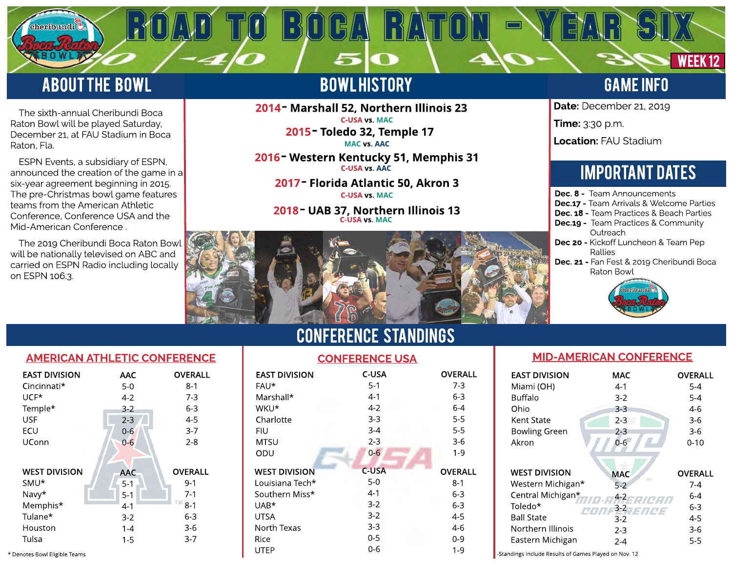## **ABOUT THE BOWL**

sheribundi (

The sixth-annual Cheribundi Boca Raton Bowl will be played Saturday, December 21, at FAU Stadium in Boca Raton, Fla.

 ESPN Events, a subsidiary of ESPN, announced the creation of the game in a six-year agreement beginning in 2015. The pre-Christmas bowl game features teams from the American Athletic Conference, Conference USA and the Mid-American Conference .

The 2019 Cheribundi Boca Raton Bowl will be nationally televised on ABC and carried on ESPN Radio including locally on ESPN 106.3.

### **BOWLHISTORY**

5

ROAD TO BOGA RATON - YEAR SIX

2014 - Marshall 52, Northern Illinois 23 C-USA vs. MAC

2015 - Toledo 32, Temple 17 MAC vs. AAC

2016 - Western Kentucky 51, Memphis 31 C-USA vs. AAC

2017 - Florida Atlantic 50, Akron 3 C-USA vs. MAC

2018 - UAB 37, Northern Illinois 13 C-USA vs. MAC



WEEK<sub>12</sub>

Date: December 21, 2019

Time: 3:30 p.m.

Location: FAU Stadium

## **IMPORTANT DATES**

| <b>Dec. 8 -</b> Team Announcements              |
|-------------------------------------------------|
| <b>Dec.17 -</b> Team Arrivals & Welcome Parties |
| <b>Dec. 18 -</b> Team Practices & Beach Parties |
| <b>Dec.19 -</b> Team Practices & Community      |
| Outreach                                        |
| <b>Dec 20 -</b> Kickoff Luncheon & Team Pep     |
| Rallies                                         |
| Dec 21 - Ean Eest 8, 2010 Cheribundi Boca       |

Dec. 21 - Fan Fest & 2019 Cheribundi Boca Raton Bowl





| <b>EAST DIVISION</b><br>Cincinnati*<br>$UCF*$<br>Temple* | AAC<br>$5-0$<br>$4 - 2$<br>$3 - 2$ | <b>OVERALL</b><br>$8-1$<br>$7-3$<br>$6 - 3$ |
|----------------------------------------------------------|------------------------------------|---------------------------------------------|
| <b>USF</b>                                               | $2 - 3$                            | $4 - 5$                                     |
| ECU                                                      | $0-6$                              | $3 - 7$                                     |
| UConn                                                    | $0 - 6$                            | $2 - 8$                                     |
|                                                          |                                    |                                             |
| <b>WEST DIVISION</b>                                     | <b>AAC</b>                         | <b>OVERALL</b>                              |
| SMU <sup>*</sup>                                         | $5 - 1$                            | 9-1                                         |
| Navy*                                                    | $5-1$                              | $7 - 1$                                     |
| Memphis*                                                 | $4 - 1$                            | TM<br>$8 - 1$                               |
| Tulane*                                                  | $3-2$                              | 6-3                                         |
| Houston                                                  | $1 - 4$                            | $3-6$                                       |
| Tulsa                                                    | 1-5                                | $3 - 7$                                     |

CONFERENCe STANDINGS

| <b>EAST DIVISION</b>          | <b>AAC</b> | <b>OVERALL</b> | <b>EAST DIVISION</b> | C-USA   | <b>OVERALL</b> | <b>EAST DIVISION</b>                                  | <b>MAC</b> |
|-------------------------------|------------|----------------|----------------------|---------|----------------|-------------------------------------------------------|------------|
| Cincinnati*                   | $5-0$      | $8 - 1$        | FAU*                 | $5-1$   | $7-3$          | Miami (OH)                                            | $4 - 1$    |
| UCF*                          | $4-2$      | $7-3$          | Marshall*            | $4-1$   | $6 - 3$        | <b>Buffalo</b>                                        | $3 - 2$    |
| Temple*                       | $3-2$      | $6 - 3$        | WKU*                 | $4 - 2$ | $6 - 4$        | Ohio                                                  | $3-3$      |
| <b>USF</b>                    | $2 - 3$    | $4 - 5$        | Charlotte            | $3 - 3$ | $5 - 5$        | Kent State                                            | $2 - 3$    |
| ECU                           | $0 - 6$    | $3 - 7$        | <b>FIU</b>           | $3 - 4$ | $5 - 5$        | <b>Bowling Green</b>                                  | $2 - 3$    |
| <b>UConn</b>                  | $0-6$      | $2 - 8$        | <b>MTSU</b>          | $2 - 3$ | $3-6$          | Akron                                                 | $0 - 6$    |
|                               |            |                | ODU                  | $0 - 6$ | $1 - 9$        |                                                       |            |
|                               |            |                |                      |         |                |                                                       |            |
| <b>WEST DIVISION</b>          | <b>AAC</b> | <b>OVERALL</b> | <b>WEST DIVISION</b> | C-USA   | <b>OVERALL</b> | <b>WEST DIVISION</b>                                  | <b>MAC</b> |
| SMU*                          | $5 - 1$    | $9 - 1$        | Louisiana Tech*      | $5-0$   | $8 - 1$        | Western Michigan*                                     | $5-2$      |
| Navy*                         | $5 - 1$    | $7-1$          | Southern Miss*       | $4-1$   | $6-3$          | Central Michigan*                                     | $4 - 2$    |
| Memphis*                      | $4 - 1$    | $8 - 1$        | UAB*                 | $3-2$   | $6 - 3$        | Toledo*                                               | $3 - 2$    |
| Tulane*                       | $3-2$      | $6 - 3$        | <b>UTSA</b>          | $3-2$   | $4 - 5$        | <b>Ball State</b>                                     | $3 - 2$    |
| Houston                       | $1 - 4$    | $3-6$          | North Texas          | $3-3$   | $4-6$          | Northern Illinois                                     | $2 - 3$    |
| Tulsa                         | $1 - 5$    | $3 - 7$        | Rice                 | $0 - 5$ | $0-9$          | Eastern Michigan                                      | $2 - 4$    |
| * Denotes Bowl Eligible Teams |            |                | UTEP                 | $0 - 6$ | $1 - 9$        | -Standings Include Results of Games Played on Nov. 12 |            |

### MID-AMERICAN CONFERENCE

| <b>EAST DIVISION</b>                                                                                                                    | MAC                                                                                    | <b>OVERALL</b>                                                       |
|-----------------------------------------------------------------------------------------------------------------------------------------|----------------------------------------------------------------------------------------|----------------------------------------------------------------------|
| Miami (OH)                                                                                                                              | 4-1                                                                                    | $5 - 4$                                                              |
| <b>Buffalo</b>                                                                                                                          | 3-2                                                                                    | 5-4                                                                  |
| Ohio                                                                                                                                    | 3-3                                                                                    | $4-6$                                                                |
| Kent State                                                                                                                              | $2 - 3$                                                                                | 3-6                                                                  |
| <b>Bowling Green</b>                                                                                                                    | 2-3                                                                                    | 3-6                                                                  |
| Akron                                                                                                                                   | $0 - 6$                                                                                | $0 - 10$                                                             |
| <b>WEST DIVISION</b><br>Western Michigan*<br>Central Michigan*<br>Toledo*<br><b>Ball State</b><br>Northern Illinois<br>Eastern Michigan | <b>MAC</b><br>TM <sub></sub><br>$5 - 2$<br>4-2<br>3-2 JENCE<br>$3-2$<br>2-3<br>$2 - 4$ | <b>OVERALL</b><br>7-4<br>$6 - 4$<br>$6 - 3$<br>$4 - 5$<br>3-6<br>5-5 |